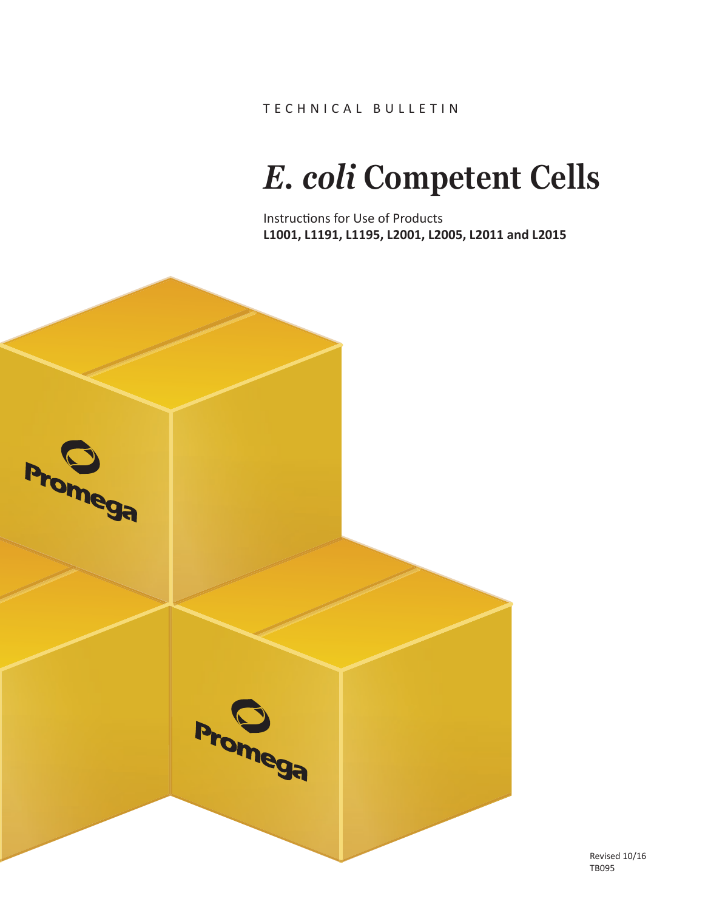TECHNICAL BULLETIN

# *E. coli* **Competent Cells**

Instructions for Use of Products **L1001, L1191, L1195, L2001, L2005, L2011 and L2015**



Revised 10/16 TB095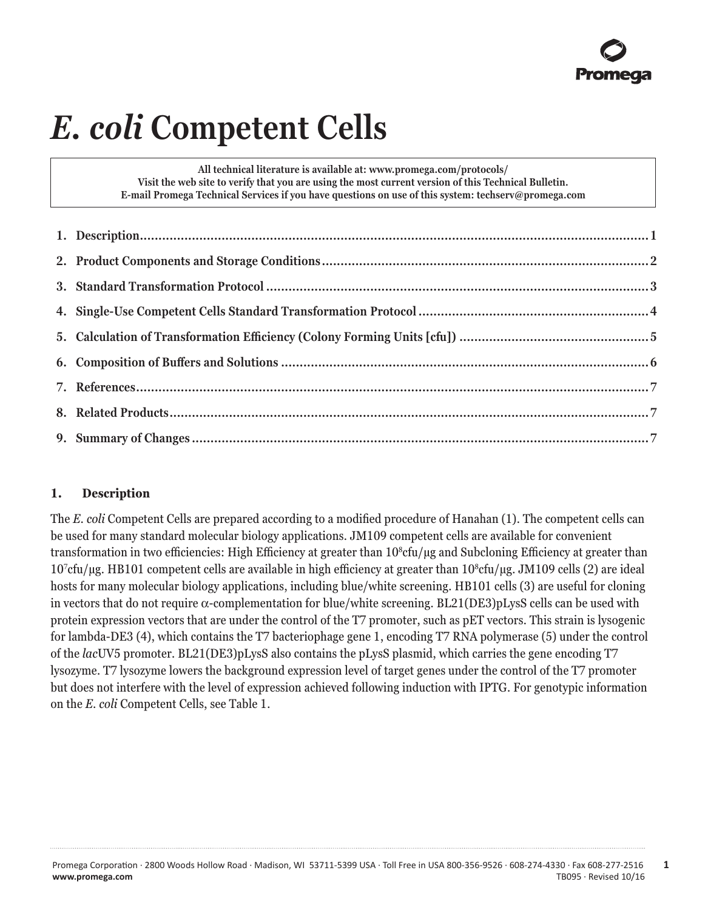# *E. coli* **Competent Cells**

**All technical literature is available at: www.promega.com/protocols/ Visit the web site to verify that you are using the most current version of this Technical Bulletin. E-mail Promega Technical Services if you have questions on use of this system: techserv@promega.com**

# **1. Description**

The *E. coli* Competent Cells are prepared according to a modified procedure of Hanahan (1). The competent cells can be used for many standard molecular biology applications. JM109 competent cells are available for convenient transformation in two efficiencies: High Efficiency at greater than  $10^{\rm se}$ rul yg and Subcloning Efficiency at greater than 107 cfu/µg. HB101 competent cells are available in high efficiency at greater than 108 cfu/µg. JM109 cells (2) are ideal hosts for many molecular biology applications, including blue/white screening. HB101 cells (3) are useful for cloning in vectors that do not require a-complementation for blue/white screening. BL21(DE3)pLysS cells can be used with protein expression vectors that are under the control of the T7 promoter, such as pET vectors. This strain is lysogenic for lambda-DE3 (4), which contains the T7 bacteriophage gene 1, encoding T7 RNA polymerase (5) under the control of the *lac*UV5 promoter. BL21(DE3)pLysS also contains the pLysS plasmid, which carries the gene encoding T7 lysozyme. T7 lysozyme lowers the background expression level of target genes under the control of the T7 promoter but does not interfere with the level of expression achieved following induction with IPTG. For genotypic information on the *E. coli* Competent Cells, see Table 1.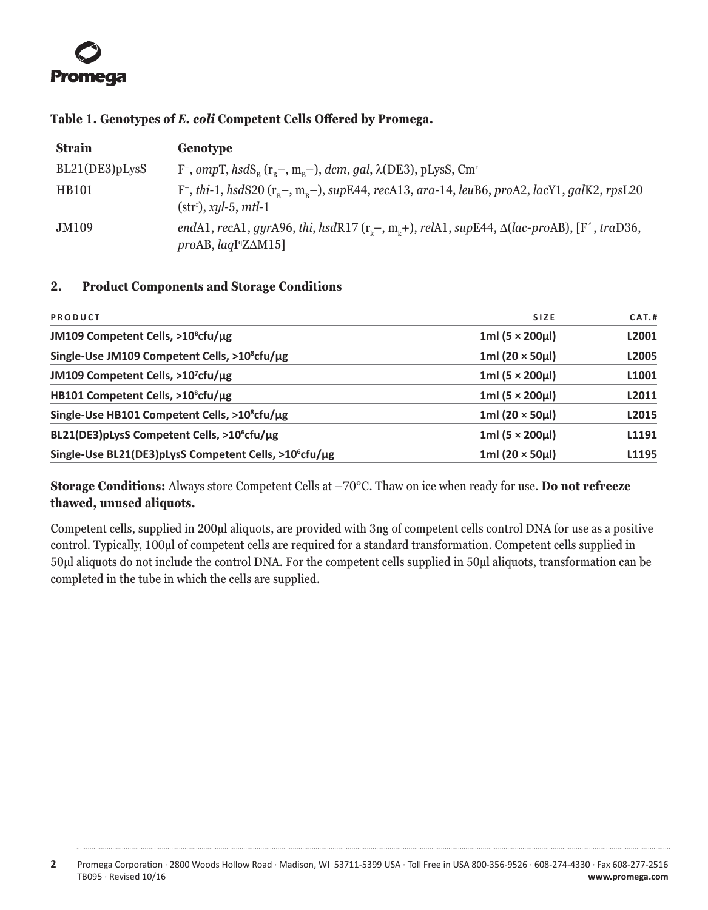# <span id="page-2-0"></span>**Table 1. Genotypes of** *E. coli* **Competent Cells Offered by Promega.**

| <b>Strain</b>  | Genotype                                                                                                                                                     |
|----------------|--------------------------------------------------------------------------------------------------------------------------------------------------------------|
| BL21(DE3)pLysS | F <sup>-</sup> , ompT, hsdS <sub>n</sub> (r <sub>n</sub> -, m <sub>n</sub> -), dcm, gal, $\lambda$ (DE3), pLysS, Cm <sup>r</sup>                             |
| <b>HB101</b>   | $F^-$ , thi-1, hsdS20 $(r_n-, m_n-)$ , supE44, recA13, ara-14, leuB6, proA2, lacY1, galK2, rpsL20<br>$(strr)$ , xyl-5, mtl-1                                 |
| JM109          | endA1, recA1, gyrA96, thi, hsdR17 ( $r_c$ -, m <sub><math>c</math></sub> +), relA1, supE44, $\Delta (lac$ -proAB), [F', traD36,<br>$proAB, laqIqZ\Delta M15$ |

# **2. Product Components and Storage Conditions**

| PRODUCT                                                            | SIZE                      | CAT.H |
|--------------------------------------------------------------------|---------------------------|-------|
| JM109 Competent Cells, >10 <sup>8</sup> cfu/ug                     | $1ml(5 \times 200 \mu l)$ | L2001 |
| Single-Use JM109 Competent Cells, >10 <sup>8</sup> cfu/µg          | 1ml $(20 \times 50 \mu)$  | L2005 |
| JM109 Competent Cells, >10 <sup>7</sup> cfu/ug                     | $1ml(5 \times 200 \mu l)$ | L1001 |
| HB101 Competent Cells, >10 <sup>8</sup> cfu/ug                     | $1ml(5 \times 200 \mu l)$ | L2011 |
| Single-Use HB101 Competent Cells, >10 <sup>8</sup> cfu/µg          | 1ml $(20 \times 50 \mu)$  | L2015 |
| BL21(DE3) pLysS Competent Cells, >10 <sup>6</sup> cfu/ug           | $1ml(5 \times 200 \mu l)$ | L1191 |
| Single-Use BL21(DE3)pLysS Competent Cells, >10 <sup>6</sup> cfu/ug | 1ml $(20 \times 50 \mu)$  | L1195 |
|                                                                    |                           |       |

**Storage Conditions:** Always store Competent Cells at –70°C. Thaw on ice when ready for use. **Do not refreeze thawed, unused aliquots.**

Competent cells, supplied in 200µl aliquots, are provided with 3ng of competent cells control DNA for use as a positive control. Typically, 100µl of competent cells are required for a standard transformation. Competent cells supplied in 50µl aliquots do not include the control DNA. For the competent cells supplied in 50µl aliquots, transformation can be completed in the tube in which the cells are supplied.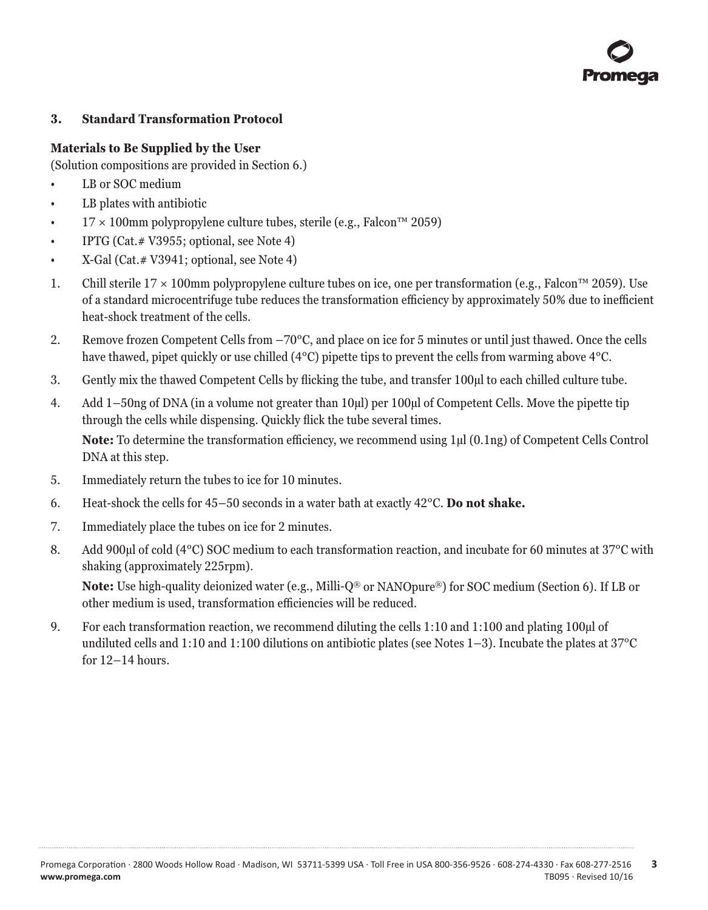# <span id="page-3-0"></span>**3. Standard Transformation Protocol**

# **Materials to Be Supplied by the User**

(Solution compositions are provided in Section 6.)

- LB or SOC medium
- LB plates with antibiotic
- 17 × 100mm polypropylene culture tubes, sterile (e.g., Falcon<sup>™</sup> 2059)
- IPTG (Cat.# V3955; optional, see Note 4)
- X-Gal (Cat. # V3941; optional, see Note 4)
- 1. Chill sterile  $17 \times 100$ mm polypropylene culture tubes on ice, one per transformation (e.g., Falcon™ 2059). Use of a standard microcentrifuge tube reduces the transformation efficiency by approximately 50% due to inefficient heat-shock treatment of the cells.
- 2. Remove frozen Competent Cells from –70°C, and place on ice for 5 minutes or until just thawed. Once the cells have thawed, pipet quickly or use chilled (4°C) pipette tips to prevent the cells from warming above 4°C.
- 3. Gently mix the thawed Competent Cells by flicking the tube, and transfer 100µl to each chilled culture tube.
- 4. Add 1–50ng of DNA (in a volume not greater than 10µl) per 100µl of Competent Cells. Move the pipette tip through the cells while dispensing. Quickly flick the tube several times. **Note:** To determine the transformation efficiency, we recommend using 1µl (0.1ng) of Competent Cells Control DNA at this step.
- 5. Immediately return the tubes to ice for 10 minutes.
- 6. Heat-shock the cells for 45–50 seconds in a water bath at exactly 42°C. **Do not shake.**
- 7. Immediately place the tubes on ice for 2 minutes.
- 8. Add 900µl of cold (4°C) SOC medium to each transformation reaction, and incubate for 60 minutes at 37°C with shaking (approximately 225rpm).

**Note:** Use high-quality deionized water (e.g., Milli-Q® or NANOpure®) for SOC medium (Section 6). If LB or other medium is used, transformation efficiencies will be reduced.

9. For each transformation reaction, we recommend diluting the cells 1:10 and 1:100 and plating 100µl of undiluted cells and 1:10 and 1:100 dilutions on antibiotic plates (see Notes 1–3). Incubate the plates at 37°C for 12–14 hours.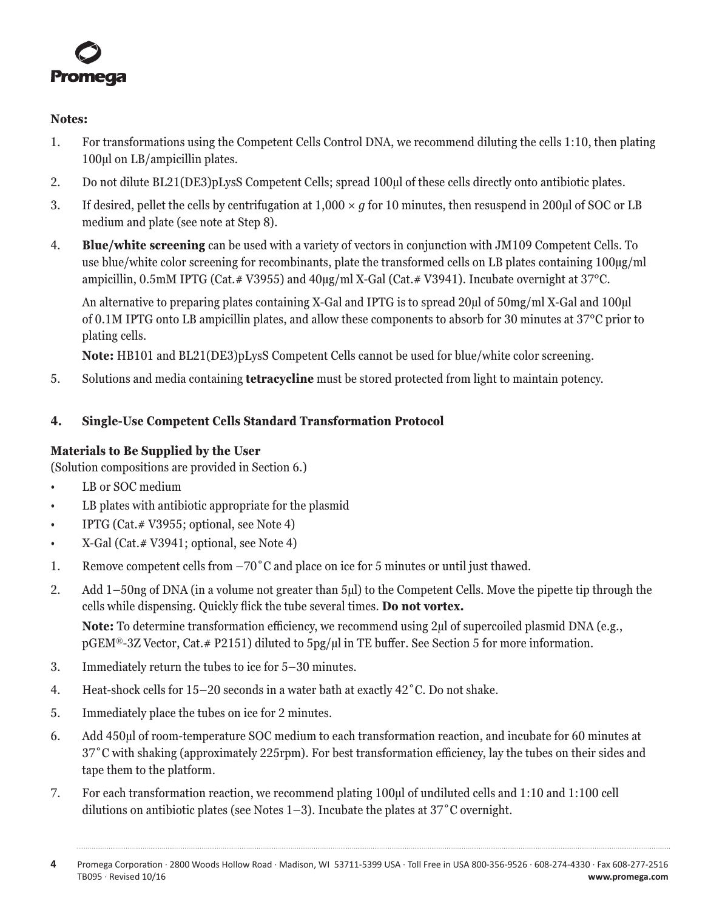<span id="page-4-0"></span>

#### **Notes:**

- 1. For transformations using the Competent Cells Control DNA, we recommend diluting the cells 1:10, then plating 100µl on LB/ampicillin plates.
- 2. Do not dilute BL21(DE3)pLysS Competent Cells; spread 100µl of these cells directly onto antibiotic plates.
- 3. If desired, pellet the cells by centrifugation at  $1,000 \times q$  for 10 minutes, then resuspend in 200µl of SOC or LB medium and plate (see note at Step 8).
- 4. **Blue/white screening** can be used with a variety of vectors in conjunction with JM109 Competent Cells. To use blue/white color screening for recombinants, plate the transformed cells on LB plates containing 100µg/ml ampicillin, 0.5mM IPTG (Cat.# V3955) and 40µg/ml X-Gal (Cat.# V3941). Incubate overnight at 37°C.

An alternative to preparing plates containing X-Gal and IPTG is to spread 20µl of 50mg/ml X-Gal and 100µl of 0.1M IPTG onto LB ampicillin plates, and allow these components to absorb for 30 minutes at 37°C prior to plating cells.

**Note:** HB101 and BL21(DE3)pLysS Competent Cells cannot be used for blue/white color screening.

5. Solutions and media containing **tetracycline** must be stored protected from light to maintain potency.

# **4. Single-Use Competent Cells Standard Transformation Protocol**

# **Materials to Be Supplied by the User**

(Solution compositions are provided in Section 6.)

- LB or SOC medium
- LB plates with antibiotic appropriate for the plasmid
- IPTG (Cat.# V3955; optional, see Note 4)
- X-Gal (Cat. # V3941; optional, see Note 4)
- 1. Remove competent cells from –70˚C and place on ice for 5 minutes or until just thawed.
- 2. Add 1–50ng of DNA (in a volume not greater than 5µl) to the Competent Cells. Move the pipette tip through the cells while dispensing. Quickly flick the tube several times. **Do not vortex.**

**Note:** To determine transformation efficiency, we recommend using 2µl of supercoiled plasmid DNA (e.g., pGEM®-3Z Vector, Cat.# P2151) diluted to 5pg/µl in TE buffer. See Section 5 for more information.

- 3. Immediately return the tubes to ice for 5–30 minutes.
- 4. Heat-shock cells for 15–20 seconds in a water bath at exactly 42˚C. Do not shake.
- 5. Immediately place the tubes on ice for 2 minutes.
- 6. Add 450µl of room-temperature SOC medium to each transformation reaction, and incubate for 60 minutes at 37˚C with shaking (approximately 225rpm). For best transformation efficiency, lay the tubes on their sides and tape them to the platform.
- 7. For each transformation reaction, we recommend plating 100µl of undiluted cells and 1:10 and 1:100 cell dilutions on antibiotic plates (see Notes 1–3). Incubate the plates at 37˚C overnight.

**<sup>4</sup>** Promega Corporation · 2800 Woods Hollow Road · Madison, WI 53711-5399 USA · Toll Free in USA 800-356-9526 · 608-274-4330 · Fax 608-277-2516 www.promega.com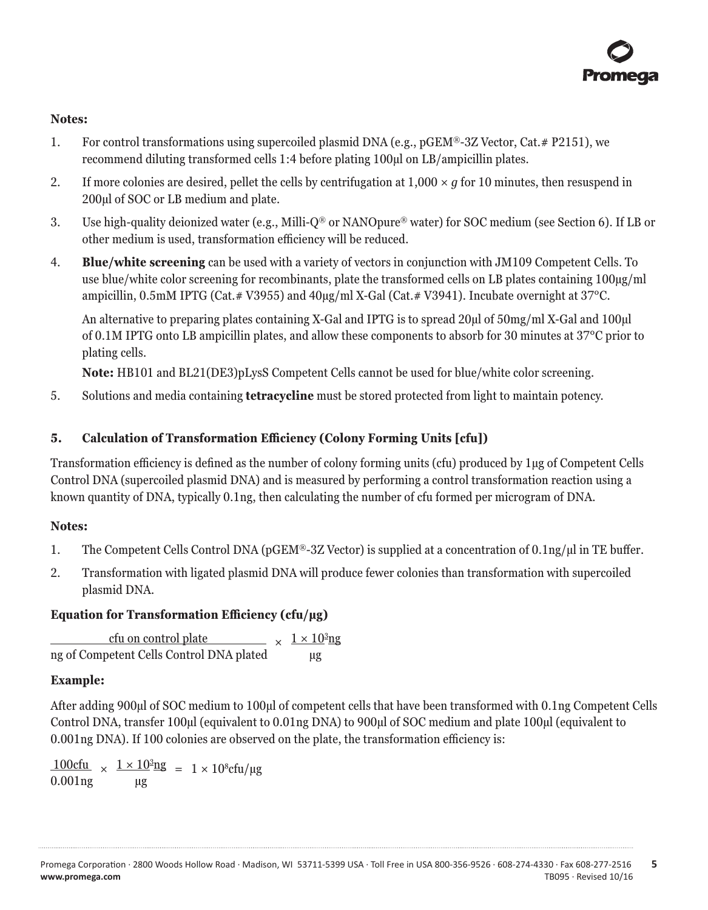### <span id="page-5-0"></span>**Notes:**

- 1. For control transformations using supercoiled plasmid DNA (e.g., pGEM®-3Z Vector, Cat.# P2151), we recommend diluting transformed cells 1:4 before plating 100µl on LB/ampicillin plates.
- 2. If more colonies are desired, pellet the cells by centrifugation at  $1,000 \times q$  for 10 minutes, then resuspend in 200µl of SOC or LB medium and plate.
- 3. Use high-quality deionized water (e.g., Milli-Q® or NANOpure® water) for SOC medium (see Section 6). If LB or other medium is used, transformation efficiency will be reduced.
- 4. **Blue/white screening** can be used with a variety of vectors in conjunction with JM109 Competent Cells. To use blue/white color screening for recombinants, plate the transformed cells on LB plates containing 100µg/ml ampicillin, 0.5mM IPTG (Cat.# V3955) and 40µg/ml X-Gal (Cat.# V3941). Incubate overnight at 37°C.

An alternative to preparing plates containing X-Gal and IPTG is to spread 20µl of 50mg/ml X-Gal and 100µl of 0.1M IPTG onto LB ampicillin plates, and allow these components to absorb for 30 minutes at 37°C prior to plating cells.

**Note:** HB101 and BL21(DE3)pLysS Competent Cells cannot be used for blue/white color screening.

5. Solutions and media containing **tetracycline** must be stored protected from light to maintain potency.

# **5. Calculation of Transformation Efficiency (Colony Forming Units [cfu])**

Transformation efficiency is defined as the number of colony forming units (cfu) produced by 1µg of Competent Cells Control DNA (supercoiled plasmid DNA) and is measured by performing a control transformation reaction using a known quantity of DNA, typically 0.1ng, then calculating the number of cfu formed per microgram of DNA.

# **Notes:**

- 1. The Competent Cells Control DNA (pGEM®-3Z Vector) is supplied at a concentration of 0.1ng/µl in TE buffer.
- 2. Transformation with ligated plasmid DNA will produce fewer colonies than transformation with supercoiled plasmid DNA.

# **Equation for Transformation Efficiency (cfu/µg)**

 $\frac{\text{cfu on control plate}}{x} \times \frac{1 \times 10^3 \text{ng}}{x}$ ng of Competent Cells Control DNA plated µg

# **Example:**

After adding 900µl of SOC medium to 100µl of competent cells that have been transformed with 0.1ng Competent Cells Control DNA, transfer 100µl (equivalent to 0.01ng DNA) to 900µl of SOC medium and plate 100µl (equivalent to 0.001ng DNA). If 100 colonies are observed on the plate, the transformation efficiency is:

 $\frac{100cfu}{\times} \times \frac{1 \times 10^3 \text{ng}}{1 \times 10^8 \text{cfu}/\text{ng}}$ 0.001ng µg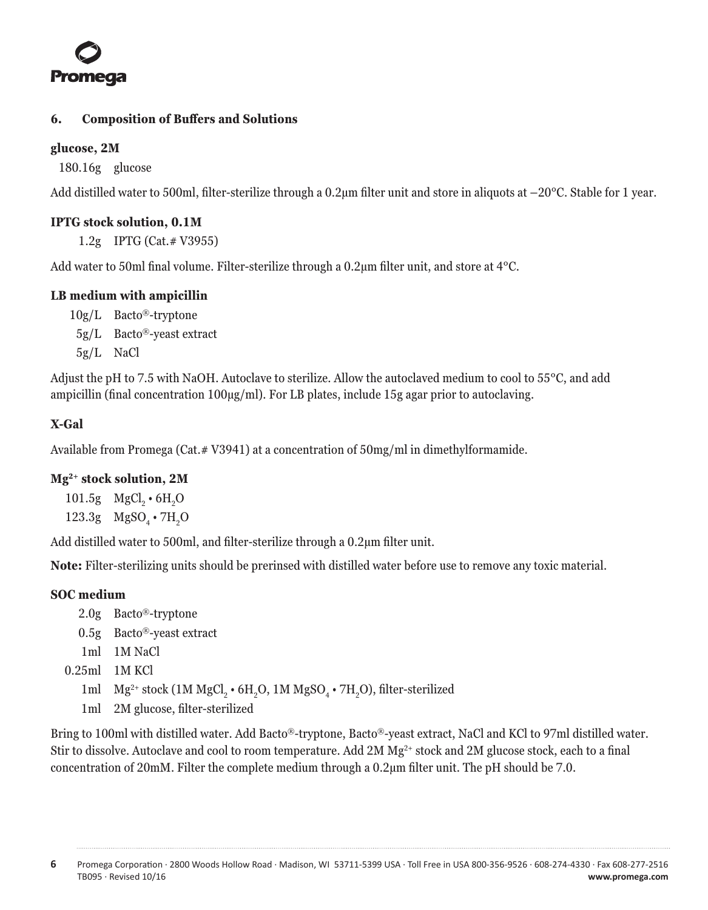<span id="page-6-0"></span>

# **6. Composition of Buffers and Solutions**

# **glucose, 2M**

180.16g glucose

Add distilled water to 500ml, filter-sterilize through a 0.2 $\mu$ m filter unit and store in aliquots at  $-20^{\circ}$ C. Stable for 1 year.

### **IPTG stock solution, 0.1M**

1.2g IPTG (Cat.# V3955)

Add water to 50ml final volume. Filter-sterilize through a 0.2µm filter unit, and store at 4°C.

# **LB medium with ampicillin**

- 10g/L Bacto®-tryptone
- 5g/L Bacto®-yeast extract
- 5g/L NaCl

Adjust the pH to 7.5 with NaOH. Autoclave to sterilize. Allow the autoclaved medium to cool to 55°C, and add ampicillin (final concentration 100µg/ml). For LB plates, include 15g agar prior to autoclaving.

# **X-Gal**

Available from Promega (Cat.# V3941) at a concentration of 50mg/ml in dimethylformamide.

# **Mg2+ stock solution, 2M**

101.5g  $MgCl_2 \cdot 6H_2O$ 123.3g  $MgSO_4 \cdot 7H_2O$ 

Add distilled water to 500ml, and filter-sterilize through a 0.2µm filter unit.

**Note:** Filter-sterilizing units should be prerinsed with distilled water before use to remove any toxic material.

# **SOC medium**

- 2.0g Bacto®-tryptone
- 0.5g Bacto®-yeast extract
- 1ml 1M NaCl
- 0.25ml 1M KCl
	- 1ml  $Mg^{2+}$  stock (1M MgCl<sub>2</sub> 6H<sub>2</sub>O, 1M MgSO<sub>4</sub> 7H<sub>2</sub>O), filter-sterilized
	- 1ml 2M glucose, filter-sterilized

Bring to 100ml with distilled water. Add Bacto®-tryptone, Bacto®-yeast extract, NaCl and KCl to 97ml distilled water. Stir to dissolve. Autoclave and cool to room temperature. Add  $2M$  Mg<sup>2+</sup> stock and  $2M$  glucose stock, each to a final concentration of 20mM. Filter the complete medium through a 0.2µm filter unit. The pH should be 7.0.

**6** Promega Corporation · 2800 Woods Hollow Road · Madison, WI 53711-5399 USA · Toll Free in USA 800-356-9526 · 608-274-4330 · Fax 608-277-2516 www.promega.com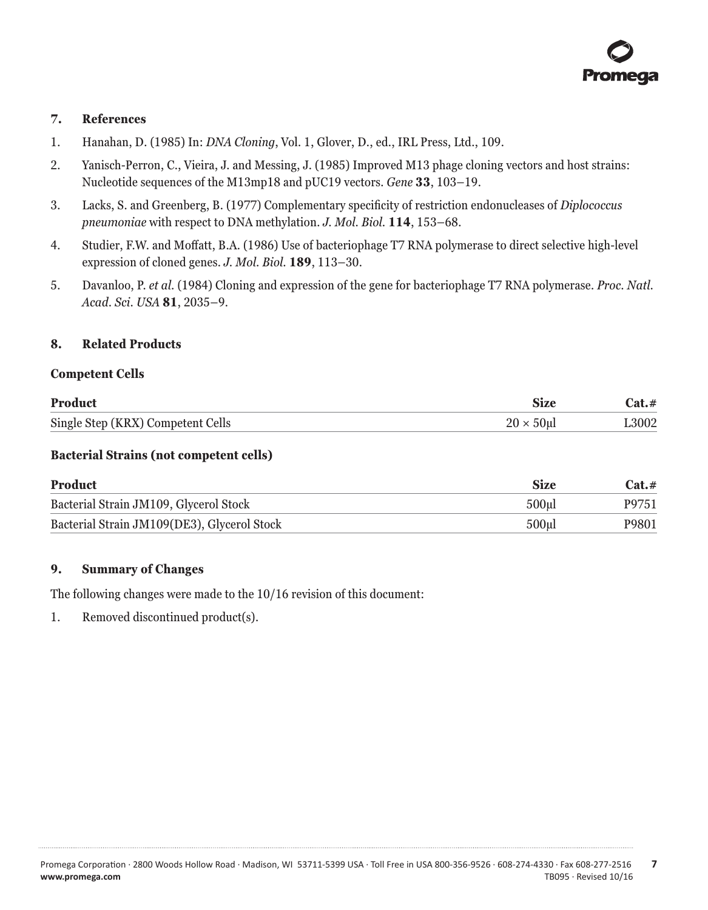# <span id="page-7-0"></span>**7. References**

- 1. Hanahan, D. (1985) In: *DNA Cloning*, Vol. 1, Glover, D., ed., IRL Press, Ltd., 109.
- 2. Yanisch-Perron, C., Vieira, J. and Messing, J. (1985) Improved M13 phage cloning vectors and host strains: Nucleotide sequences of the M13mp18 and pUC19 vectors. *Gene* **33**, 103–19.
- 3. Lacks, S. and Greenberg, B. (1977) Complementary specificity of restriction endonucleases of *Diplococcus pneumoniae* with respect to DNA methylation. *J. Mol. Biol.* **114**, 153–68.
- 4. Studier, F.W. and Moffatt, B.A. (1986) Use of bacteriophage T7 RNA polymerase to direct selective high-level expression of cloned genes. *J. Mol. Biol.* **189**, 113–30.
- 5. Davanloo, P. *et al.* (1984) Cloning and expression of the gene for bacteriophage T7 RNA polymerase. *Proc. Natl. Acad. Sci. USA* **81**, 2035–9.

#### **8. Related Products**

#### **Competent Cells**

| <b>Product</b>                    | Size              | $Cat. \#$ |
|-----------------------------------|-------------------|-----------|
| Single Step (KRX) Competent Cells | $20 \times 50$ ul | L3002     |

### **Bacterial Strains (not competent cells)**

| Product                                     | <b>Size</b>       | $Cat. \#$ |
|---------------------------------------------|-------------------|-----------|
| Bacterial Strain JM109, Glycerol Stock      | 500 <sub>ul</sub> | P9751     |
| Bacterial Strain JM109(DE3), Glycerol Stock | 500 <sub>ul</sub> | P9801     |

#### **9. Summary of Changes**

The following changes were made to the 10/16 revision of this document:

1. Removed discontinued product(s).